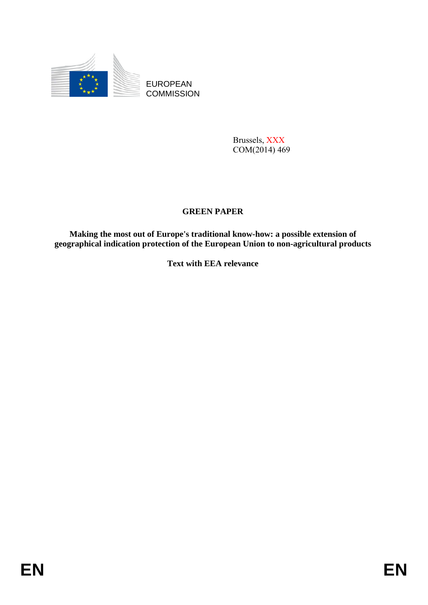

EUROPEAN **COMMISSION** 

> Brussels, XXX COM(2014) 469

# **GREEN PAPER**

**Making the most out of Europe's traditional know-how: a possible extension of geographical indication protection of the European Union to non-agricultural products**

**Text with EEA relevance**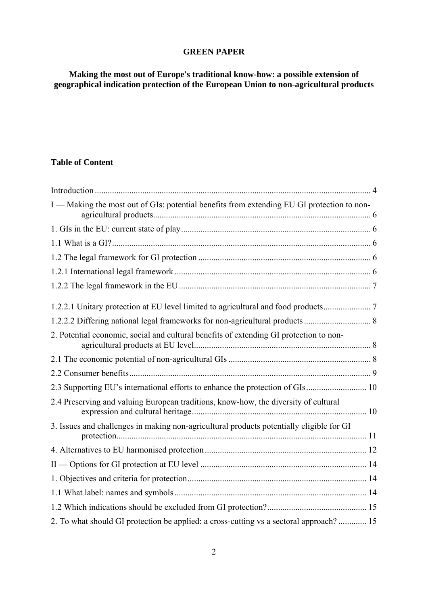# **GREEN PAPER**

**Making the most out of Europe's traditional know-how: a possible extension of geographical indication protection of the European Union to non-agricultural products** 

# **Table of Content**

| I — Making the most out of GIs: potential benefits from extending EU GI protection to non- |  |
|--------------------------------------------------------------------------------------------|--|
|                                                                                            |  |
|                                                                                            |  |
|                                                                                            |  |
|                                                                                            |  |
|                                                                                            |  |
|                                                                                            |  |
|                                                                                            |  |
| 2. Potential economic, social and cultural benefits of extending GI protection to non-     |  |
|                                                                                            |  |
|                                                                                            |  |
|                                                                                            |  |
| 2.4 Preserving and valuing European traditions, know-how, the diversity of cultural        |  |
| 3. Issues and challenges in making non-agricultural products potentially eligible for GI   |  |
|                                                                                            |  |
|                                                                                            |  |
|                                                                                            |  |
|                                                                                            |  |
|                                                                                            |  |
| 2. To what should GI protection be applied: a cross-cutting vs a sectoral approach? 15     |  |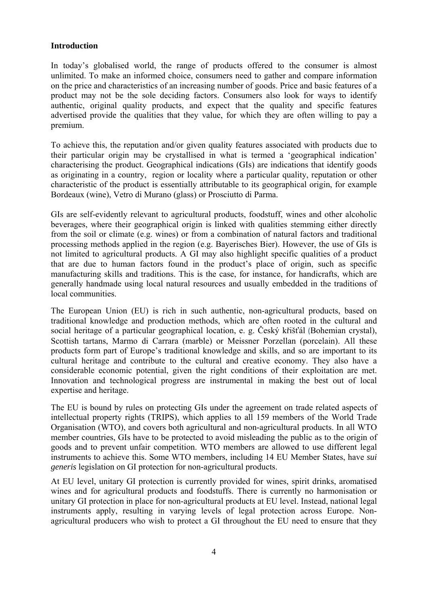### <span id="page-3-0"></span>**Introduction**

In today's globalised world, the range of products offered to the consumer is almost unlimited. To make an informed choice, consumers need to gather and compare information on the price and characteristics of an increasing number of goods. Price and basic features of a product may not be the sole deciding factors. Consumers also look for ways to identify authentic, original quality products, and expect that the quality and specific features advertised provide the qualities that they value, for which they are often willing to pay a premium.

To achieve this, the reputation and/or given quality features associated with products due to their particular origin may be crystallised in what is termed a 'geographical indication' characterising the product. Geographical indications (GIs) are indications that identify goods as originating in a country, region or locality where a particular quality, reputation or other characteristic of the product is essentially attributable to its geographical origin, for example Bordeaux (wine), Vetro di Murano (glass) or Prosciutto di Parma.

GIs are self-evidently relevant to agricultural products, foodstuff, wines and other alcoholic beverages, where their geographical origin is linked with qualities stemming either directly from the soil or climate (e.g. wines) or from a combination of natural factors and traditional processing methods applied in the region (e.g. Bayerisches Bier). However, the use of GIs is not limited to agricultural products. A GI may also highlight specific qualities of a product that are due to human factors found in the product's place of origin, such as specific manufacturing skills and traditions. This is the case, for instance, for handicrafts, which are generally handmade using local natural resources and usually embedded in the traditions of local communities.

The European Union (EU) is rich in such authentic, non-agricultural products, based on traditional knowledge and production methods, which are often rooted in the cultural and social heritage of a particular geographical location, e. g. Český křišťál (Bohemian crystal), Scottish tartans, Marmo di Carrara (marble) or Meissner Porzellan (porcelain). All these products form part of Europe's traditional knowledge and skills, and so are important to its cultural heritage and contribute to the cultural and creative economy. They also have a considerable economic potential, given the right conditions of their exploitation are met. Innovation and technological progress are instrumental in making the best out of local expertise and heritage.

The EU is bound by rules on protecting GIs under the agreement on trade related aspects of intellectual property rights (TRIPS), which applies to all 159 members of the World Trade Organisation (WTO), and covers both agricultural and non-agricultural products. In all WTO member countries, GIs have to be protected to avoid misleading the public as to the origin of goods and to prevent unfair competition. WTO members are allowed to use different legal instruments to achieve this. Some WTO members, including 14 EU Member States, have *sui generis* legislation on GI protection for non-agricultural products.

At EU level, unitary GI protection is currently provided for wines, spirit drinks, aromatised wines and for agricultural products and foodstuffs. There is currently no harmonisation or unitary GI protection in place for non-agricultural products at EU level. Instead, national legal instruments apply, resulting in varying levels of legal protection across Europe. Nonagricultural producers who wish to protect a GI throughout the EU need to ensure that they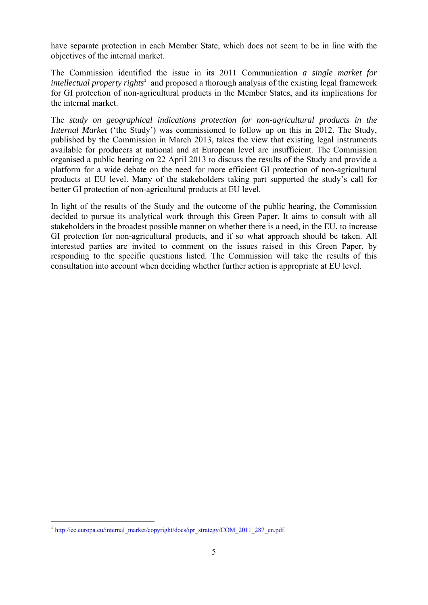have separate protection in each Member State, which does not seem to be in line with the objectives of the internal market.

The Commission identified the issue in its 2011 Communication *a single market for*  intellectual property rights<sup>1</sup> and proposed a thorough analysis of the existing legal framework for GI protection of non-agricultural products in the Member States, and its implications for the internal market.

The *study on geographical indications protection for non-agricultural products in the Internal Market* ('the Study') was commissioned to follow up on this in 2012. The Study, published by the Commission in March 2013, takes the view that existing legal instruments available for producers at national and at European level are insufficient. The Commission organised a public hearing on 22 April 2013 to discuss the results of the Study and provide a platform for a wide debate on the need for more efficient GI protection of non-agricultural products at EU level. Many of the stakeholders taking part supported the study's call for better GI protection of non-agricultural products at EU level.

In light of the results of the Study and the outcome of the public hearing, the Commission decided to pursue its analytical work through this Green Paper. It aims to consult with all stakeholders in the broadest possible manner on whether there is a need, in the EU, to increase GI protection for non-agricultural products, and if so what approach should be taken. All interested parties are invited to comment on the issues raised in this Green Paper, by responding to the specific questions listed. The Commission will take the results of this consultation into account when deciding whether further action is appropriate at EU level.

<sup>&</sup>lt;sup>1</sup> [http://ec.europa.eu/internal\\_market](http://ec.europa.eu/internal_market/copyright/docs/ipr_strategy/COM_2011_287_en.pdf)/copyright/docs/ipr\_strategy/COM\_2011\_287\_en.pdf.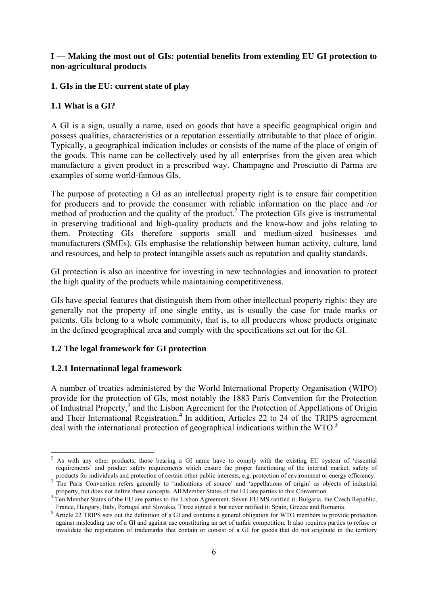# <span id="page-5-0"></span>**I — Making the most out of GIs: potential benefits from extending EU GI protection to non-agricultural products**

# <span id="page-5-1"></span>**1. GIs in the EU: current state of play**

# <span id="page-5-2"></span>**1.1 What is a GI?**

A GI is a sign, usually a name, used on goods that have a specific geographical origin and possess qualities, characteristics or a reputation essentially attributable to that place of origin. Typically, a geographical indication includes or consists of the name of the place of origin of the goods. This name can be collectively used by all enterprises from the given area which manufacture a given product in a prescribed way. Champagne and Prosciutto di Parma are examples of some world-famous GIs.

The purpose of protecting a GI as an intellectual property right is to ensure fair competition for producers and to provide the consumer with reliable information on the place and /or method of production and the quality of the product.<sup>2</sup> The protection GIs give is instrumental in preserving traditional and high-quality products and the know-how and jobs relating to them. Protecting GIs therefore supports small and medium-sized businesses and manufacturers (SMEs). GIs emphasise the relationship between human activity, culture, land and resources, and help to protect intangible assets such as reputation and quality standards.

GI protection is also an incentive for investing in new technologies and innovation to protect the high quality of the products while maintaining competitiveness.

GIs have special features that distinguish them from other intellectual property rights: they are generally not the property of one single entity, as is usually the case for trade marks or patents. GIs belong to a whole community, that is, to all producers whose products originate in the defined geographical area and comply with the specifications set out for the GI.

# <span id="page-5-3"></span>**1.2 The legal framework for GI protection**

## <span id="page-5-4"></span>**1.2.1 International legal framework**

**.** 

A number of treaties administered by the World International Property Organisation (WIPO) provide for the protection of GIs, most notably the 1883 Paris Convention for the Protection of Industrial Property,<sup>3</sup> and the Lisbon Agreement for the Protection of Appellations of Origin and Their International Registration.<sup>4</sup> In addition, Articles 22 to 24 of the TRIPS agreement deal with the international protection of geographical indications within the WTO.<sup>5</sup>

 $2$  As with any other products, those bearing a GI name have to comply with the existing EU system of 'essential requirements' and product safety requirements which ensure the proper functioning of the internal market, safety of products for individuals and protection of certain other public interests, e.g. protection of environment or energy efficiency.<br><sup>3</sup> The Paris Convention refers generally to 'indications of source' and 'appellations of orig

property, but does not define these concepts. All Member States of the EU are parties to this Convention.<br><sup>4</sup> Ten Member States of the EU are parties to the Lisbon Agreement. Seven EU MS ratified it: Bulgaria, the Czech Re France, Hungary, Italy, Portugal and Slovakia. Three signed it but never ratified it: Spain, Greece and Romania.

<sup>&</sup>lt;sup>5</sup> Article 22 TRIPS sets out the definition of a GI and contains a general obligation for WTO members to provide protection against misleading use of a GI and against use constituting an act of unfair competition. It also requires parties to refuse or invalidate the registration of trademarks that contain or consist of a GI for goods that do not originate in the territory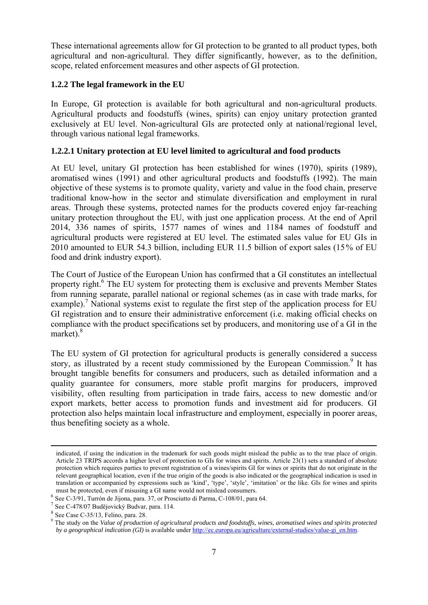These international agreements allow for GI protection to be granted to all product types, both agricultural and non-agricultural. They differ significantly, however, as to the definition, scope, related enforcement measures and other aspects of GI protection.

# <span id="page-6-0"></span>**1.2.2 The legal framework in the EU**

In Europe, GI protection is available for both agricultural and non-agricultural products. Agricultural products and foodstuffs (wines, spirits) can enjoy unitary protection granted exclusively at EU level. Non-agricultural GIs are protected only at national/regional level, through various national legal frameworks.

# <span id="page-6-1"></span>**1.2.2.1 Unitary protection at EU level limited to agricultural and food products**

At EU level, unitary GI protection has been established for wines (1970), spirits (1989), aromatised wines (1991) and other agricultural products and foodstuffs (1992). The main objective of these systems is to promote quality, variety and value in the food chain, preserve traditional know-how in the sector and stimulate diversification and employment in rural areas. Through these systems, protected names for the products covered enjoy far-reaching unitary protection throughout the EU, with just one application process. At the end of April 2014, 336 names of spirits, 1577 names of wines and 1184 names of foodstuff and agricultural products were registered at EU level. The estimated sales value for EU GIs in 2010 amounted to EUR 54.3 billion, including EUR 11.5 billion of export sales (15% of EU food and drink industry export).

The Court of Justice of the European Union has confirmed that a GI constitutes an intellectual property right.<sup>6</sup> The EU system for protecting them is exclusive and prevents Member States from running separate, parallel national or regional schemes (as in case with trade marks, for example).<sup>7</sup> National systems exist to regulate the first step of the application process for EU GI registration and to ensure their administrative enforcement (i.e. making official checks on compliance with the product specifications set by producers, and monitoring use of a GI in the market). $8$ 

The EU system of GI protection for agricultural products is generally considered a success story, as illustrated by a recent study commissioned by the European Commission.<sup>9</sup> It has brought tangible benefits for consumers and producers, such as detailed information and a quality guarantee for consumers, more stable profit margins for producers, improved visibility, often resulting from participation in trade fairs, access to new domestic and/or export markets, better access to promotion funds and investment aid for producers. GI protection also helps maintain local infrastructure and employment, especially in poorer areas, thus benefiting society as a whole.

1

indicated, if using the indication in the trademark for such goods might mislead the public as to the true place of origin. Article 23 TRIPS accords a higher level of protection to GIs for wines and spirits. Article 23(1) sets a standard of absolute protection which requires parties to prevent registration of a wines/spirits GI for wines or spirits that do not originate in the relevant geographical location, even if the true origin of the goods is also indicated or the geographical indication is used in translation or accompanied by expressions such as 'kind', 'type', 'style', 'imitation' or the like. GIs for wines and spirits

must be protected, even if misusing a GI name would not mislead consumers.<br><sup>6</sup> See C-3/91, Turrón de Jijona, para. 37, or Prosciutto di Parma, C-108/01, para 64. <sup>7</sup> See C-478/07 Budĕjovický Budvar, para. 114.

 $8$  See Case C-35/13, Felino, para. 28.

<sup>9</sup> The study on the *Value of production of agricultural products and foodstuffs, wines, aromatised wines and spirits protected by a geographical indication (GI)* is available unde[r http://ec.europa.eu/agriculture/external-studies/value-gi\\_en.htm.](http://ec.europa.eu/agriculture/external-studies/value-gi_en.htm)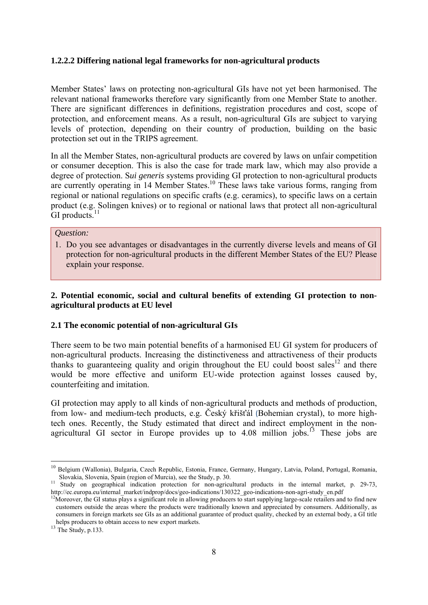## <span id="page-7-0"></span>**1.2.2.2 Differing national legal frameworks for non-agricultural products**

Member States' laws on protecting non-agricultural GIs have not yet been harmonised. The relevant national frameworks therefore vary significantly from one Member State to another. There are significant differences in definitions, registration procedures and cost, scope of protection, and enforcement means. As a result, non-agricultural GIs are subject to varying levels of protection, depending on their country of production, building on the basic protection set out in the TRIPS agreement.

In all the Member States, non-agricultural products are covered by laws on unfair competition or consumer deception. This is also the case for trade mark law, which may also provide a degree of protection. S*ui generis* systems providing GI protection to non-agricultural products are currently operating in 14 Member States.10 These laws take various forms, ranging from regional or national regulations on specific crafts (e.g. ceramics), to specific laws on a certain product (e.g. Solingen knives) or to regional or national laws that protect all non-agricultural GI products.<sup>11</sup>

### *Question:*

1. Do you see advantages or disadvantages in the currently diverse levels and means of GI protection for non-agricultural products in the different Member States of the EU? Please explain your response.

# <span id="page-7-1"></span>**2. Potential economic, social and cultural benefits of extending GI protection to nonagricultural products at EU level**

## <span id="page-7-2"></span>**2.1 The economic potential of non-agricultural GIs**

There seem to be two main potential benefits of a harmonised EU GI system for producers of non-agricultural products. Increasing the distinctiveness and attractiveness of their products thanks to guaranteeing quality and origin throughout the EU could boost sales<sup>12</sup> and there would be more effective and uniform EU-wide protection against losses caused by, counterfeiting and imitation.

GI protection may apply to all kinds of non-agricultural products and methods of production, from low- and medium-tech products, e.g. Český křišťál (Bohemian crystal), to more hightech ones. Recently, the Study estimated that direct and indirect employment in the nonagricultural GI sector in Europe provides up to  $4.08$  million jobs.<sup>13</sup> These jobs are

<sup>&</sup>lt;sup>10</sup> Belgium (Wallonia), Bulgaria, Czech Republic, Estonia, France, Germany, Hungary, Latvia, Poland, Portugal, Romania,

Slovakia, Slovenia, Spain (region of Murcia), see the Study, p. 30.<br><sup>11</sup> Study on geographical indication protection for non-agricultural products in the internal market, p. 29-73,<br>http://ec.europa.eu/internal market/indpr

<sup>&</sup>lt;sup>12</sup>Moreover, the GI status plays a significant role in allowing producers to start supplying large-scale retailers and to find new customers outside the areas where the products were traditionally known and appreciated by consumers. Additionally, as consumers in foreign markets see GIs as an additional guarantee of product quality, checked by an external body, a GI title helps producers to obtain access to new export markets. <sup>13</sup> The Study, p.133.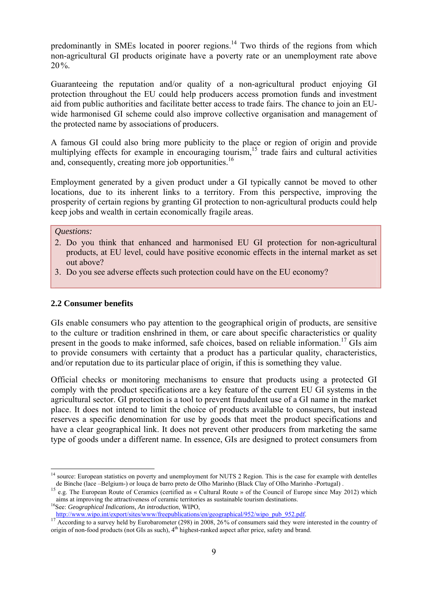predominantly in SMEs located in poorer regions.14 Two thirds of the regions from which non-agricultural GI products originate have a poverty rate or an unemployment rate above 20%.

Guaranteeing the reputation and/or quality of a non-agricultural product enjoying GI protection throughout the EU could help producers access promotion funds and investment aid from public authorities and facilitate better access to trade fairs. The chance to join an EUwide harmonised GI scheme could also improve collective organisation and management of the protected name by associations of producers.

A famous GI could also bring more publicity to the place or region of origin and provide multiplying effects for example in encouraging tourism,<sup>15</sup> trade fairs and cultural activities and, consequently, creating more job opportunities.<sup>16</sup>

Employment generated by a given product under a GI typically cannot be moved to other locations, due to its inherent links to a territory. From this perspective, improving the prosperity of certain regions by granting GI protection to non-agricultural products could help keep jobs and wealth in certain economically fragile areas.

# *Questions:*

1

- 2. Do you think that enhanced and harmonised EU GI protection for non-agricultural products, at EU level, could have positive economic effects in the internal market as set out above?
- 3. Do you see adverse effects such protection could have on the EU economy?

### <span id="page-8-0"></span>**2.2 Consumer benefits**

GIs enable consumers who pay attention to the geographical origin of products, are sensitive to the culture or tradition enshrined in them, or care about specific characteristics or quality present in the goods to make informed, safe choices, based on reliable information.<sup>17</sup> GIs aim to provide consumers with certainty that a product has a particular quality, characteristics, and/or reputation due to its particular place of origin, if this is something they value.

Official checks or monitoring mechanisms to ensure that products using a protected GI comply with the product specifications are a key feature of the current EU GI systems in the agricultural sector. GI protection is a tool to prevent fraudulent use of a GI name in the market place. It does not intend to limit the choice of products available to consumers, but instead reserves a specific denomination for use by goods that meet the product specifications and have a clear geographical link. It does not prevent other producers from marketing the same type of goods under a different name. In essence, GIs are designed to protect consumers from

<sup>&</sup>lt;sup>14</sup> source: European statistics on poverty and unemployment for NUTS 2 Region. This is the case for example with dentelles de Binche (lace –Belgium-) or louça de barro preto de Olho Marinho (Black Clay of Olho Marinho -Portugal).<br><sup>15</sup> e.g. The European Route of Ceramics (certified as « Cultural Route » of the Council of Europe since May 2012)

aims at improving the attractiveness of ceramic territories as sustainable tourism destinations.<br><sup>16</sup>See: *Geographical Indications, An introduction*, WIPO,<br>http://www.wipo.int/export/sites/www/freepublications/en/geograph

 $\frac{17}{17}$  According to a survey held by Eurobarometer (298) in 2008, 26% of consumers said they were interested in the country of origin of non-food products (not GIs as such),  $4<sup>th</sup>$  highest-ranked aspect after price, safety and brand.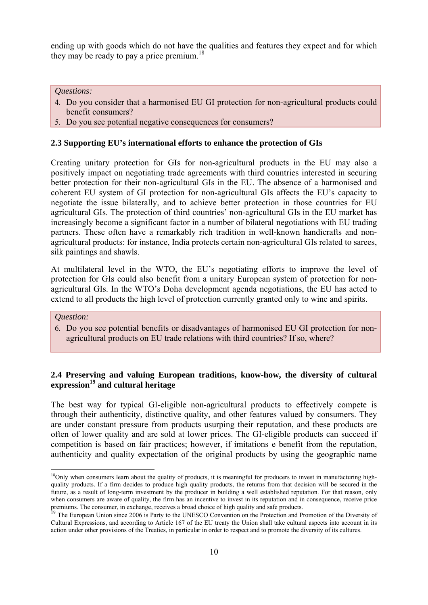ending up with goods which do not have the qualities and features they expect and for which they may be ready to pay a price premium.<sup>18</sup>

### *Questions:*

- 4. Do you consider that a harmonised EU GI protection for non-agricultural products could benefit consumers?
- 5. Do you see potential negative consequences for consumers?

#### <span id="page-9-0"></span>**2.3 Supporting EU's international efforts to enhance the protection of GIs**

Creating unitary protection for GIs for non-agricultural products in the EU may also a positively impact on negotiating trade agreements with third countries interested in securing better protection for their non-agricultural GIs in the EU. The absence of a harmonised and coherent EU system of GI protection for non-agricultural GIs affects the EU's capacity to negotiate the issue bilaterally, and to achieve better protection in those countries for EU agricultural GIs. The protection of third countries' non-agricultural GIs in the EU market has increasingly become a significant factor in a number of bilateral negotiations with EU trading partners. These often have a remarkably rich tradition in well-known handicrafts and nonagricultural products: for instance, India protects certain non-agricultural GIs related to sarees, silk paintings and shawls.

At multilateral level in the WTO, the EU's negotiating efforts to improve the level of protection for GIs could also benefit from a unitary European system of protection for nonagricultural GIs. In the WTO's Doha development agenda negotiations, the EU has acted to extend to all products the high level of protection currently granted only to wine and spirits.

#### *Question:*

1

6. Do you see potential benefits or disadvantages of harmonised EU GI protection for nonagricultural products on EU trade relations with third countries? If so, where?

# <span id="page-9-1"></span>**2.4 Preserving and valuing European traditions, know-how, the diversity of cultural**  expression<sup>19</sup> and cultural heritage

The best way for typical GI-eligible non-agricultural products to effectively compete is through their authenticity, distinctive quality, and other features valued by consumers. They are under constant pressure from products usurping their reputation, and these products are often of lower quality and are sold at lower prices. The GI-eligible products can succeed if competition is based on fair practices; however, if imitations e benefit from the reputation, authenticity and quality expectation of the original products by using the geographic name

 $18$ Only when consumers learn about the quality of products, it is meaningful for producers to invest in manufacturing highquality products. If a firm decides to produce high quality products, the returns from that decision will be secured in the future, as a result of long-term investment by the producer in building a well established reputation. For that reason, only when consumers are aware of quality, the firm has an incentive to invest in its reputation and in consequence, receive price premiums. The consumer, in exchange, receives a broad choice of high quality and safe products.<br><sup>19</sup> The European Union since 2006 is Party to the UNESCO Convention on the Protection and Promotion of the Diversity of

Cultural Expressions, and according to Article 167 of the EU treaty the Union shall take cultural aspects into account in its action under other provisions of the Treaties, in particular in order to respect and to promote the diversity of its cultures.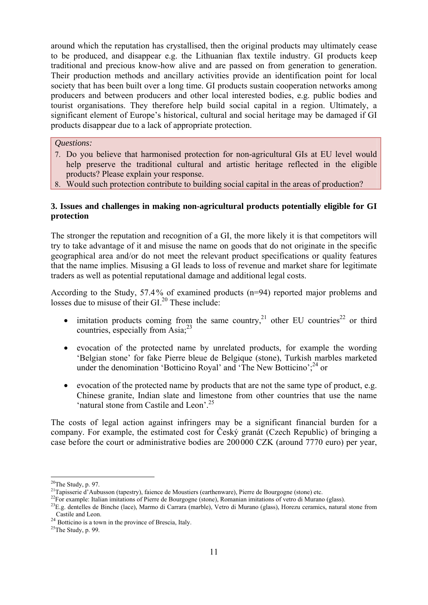around which the reputation has crystallised, then the original products may ultimately cease to be produced, and disappear e.g. the Lithuanian flax textile industry. GI products keep traditional and precious know-how alive and are passed on from generation to generation. Their production methods and ancillary activities provide an identification point for local society that has been built over a long time. GI products sustain cooperation networks among producers and between producers and other local interested bodies, e.g. public bodies and tourist organisations. They therefore help build social capital in a region. Ultimately, a significant element of Europe's historical, cultural and social heritage may be damaged if GI products disappear due to a lack of appropriate protection.

### *Questions:*

- 7. Do you believe that harmonised protection for non-agricultural GIs at EU level would help preserve the traditional cultural and artistic heritage reflected in the eligible products? Please explain your response.
- 8. Would such protection contribute to building social capital in the areas of production?

# <span id="page-10-0"></span>**3. Issues and challenges in making non-agricultural products potentially eligible for GI protection**

The stronger the reputation and recognition of a GI, the more likely it is that competitors will try to take advantage of it and misuse the name on goods that do not originate in the specific geographical area and/or do not meet the relevant product specifications or quality features that the name implies. Misusing a GI leads to loss of revenue and market share for legitimate traders as well as potential reputational damage and additional legal costs.

According to the Study, 57.4% of examined products (n=94) reported major problems and losses due to misuse of their GI.<sup>20</sup> These include:

- imitation products coming from the same country,<sup>21</sup> other EU countries<sup>22</sup> or third countries, especially from Asia; $^{23}$
- evocation of the protected name by unrelated products, for example the wording 'Belgian stone' for fake Pierre bleue de Belgique (stone), Turkish marbles marketed under the denomination 'Botticino Royal' and 'The New Botticino';  $^{24}$  or
- evocation of the protected name by products that are not the same type of product, e.g. Chinese granite, Indian slate and limestone from other countries that use the name 'natural stone from Castile and Leon'.25

The costs of legal action against infringers may be a significant financial burden for a company. For example, the estimated cost for Český granát (Czech Republic) of bringing a case before the court or administrative bodies are 200000 CZK (around 7770 euro) per year,

 $20$ The Study, p. 97.

<sup>&</sup>lt;sup>21</sup>Tapisserie d'Aubusson (tapestry), faience de Moustiers (earthenware), Pierre de Bourgogne (stone) etc.<br><sup>22</sup>For example: Italian imitations of Pierre de Bourgogne (stone), Romanian imitations of vetro di Murano (glass). Castile and Leon.<br><sup>24</sup> Botticino is a town in the province of Brescia, Italy.<br><sup>25</sup>The Study, p. 99.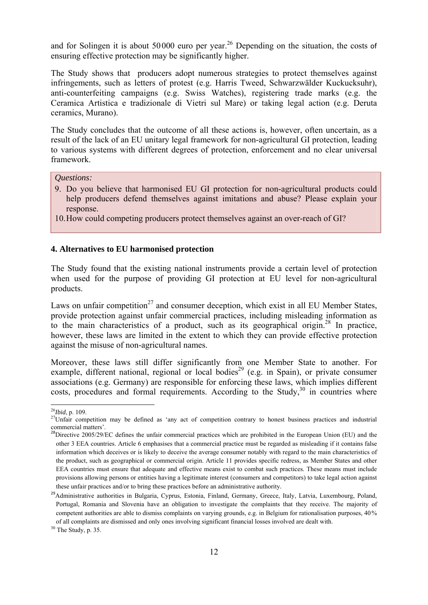and for Solingen it is about  $50000$  euro per year.<sup>26</sup> Depending on the situation, the costs of ensuring effective protection may be significantly higher.

The Study shows that producers adopt numerous strategies to protect themselves against infringements, such as letters of protest (e.g. Harris Tweed, Schwarzwälder Kuckucksuhr), anti-counterfeiting campaigns (e.g. Swiss Watches), registering trade marks (e.g. the Ceramica Artistica e tradizionale di Vietri sul Mare) or taking legal action (e.g. Deruta ceramics, Murano).

The Study concludes that the outcome of all these actions is, however, often uncertain, as a result of the lack of an EU unitary legal framework for non-agricultural GI protection, leading to various systems with different degrees of protection, enforcement and no clear universal framework.

#### *Questions:*

- 9. Do you believe that harmonised EU GI protection for non-agricultural products could help producers defend themselves against imitations and abuse? Please explain your response.
- 10.How could competing producers protect themselves against an over-reach of GI?

## <span id="page-11-0"></span>**4. Alternatives to EU harmonised protection**

The Study found that the existing national instruments provide a certain level of protection when used for the purpose of providing GI protection at EU level for non-agricultural products.

Laws on unfair competition<sup>27</sup> and consumer deception, which exist in all EU Member States, provide protection against unfair commercial practices, including misleading information as to the main characteristics of a product, such as its geographical origin.<sup>28</sup> In practice, however, these laws are limited in the extent to which they can provide effective protection against the misuse of non-agricultural names.

Moreover, these laws still differ significantly from one Member State to another. For example, different national, regional or local bodies<sup>29</sup> (e.g. in Spain), or private consumer associations (e.g. Germany) are responsible for enforcing these laws, which implies different costs, procedures and formal requirements. According to the Study, $30$  in countries where

30 The Study, p. 35.

 $^{26}$ *Ibid*, p. 109.

<sup>&</sup>lt;sup>27</sup>Unfair competition may be defined as 'any act of competition contrary to honest business practices and industrial commercial matters'.

<sup>&</sup>lt;sup>28</sup>Directive 2005/29/EC defines the unfair commercial practices which are prohibited in the European Union (EU) and the other 3 EEA countries. Article 6 emphasises that a commercial practice must be regarded as misleading if it contains false information which deceives or is likely to deceive the average consumer notably with regard to the main characteristics of the product, such as geographical or commercial origin. Article 11 provides specific redress, as Member States and other EEA countries must ensure that adequate and effective means exist to combat such practices. These means must include provisions allowing persons or entities having a legitimate interest (consumers and competitors) to take legal action against these unfair practices and/or to bring these practices before an administrative authority.<br><sup>29</sup>Administrative authorities in Bulgaria, Cyprus, Estonia, Finland, Germany, Greece, Italy, Latvia, Luxembourg, Poland,

Portugal, Romania and Slovenia have an obligation to investigate the complaints that they receive. The majority of competent authorities are able to dismiss complaints on varying grounds, e.g. in Belgium for rationalisation purposes, 40% of all complaints are dismissed and only ones involving significant financial losses involved are dealt with.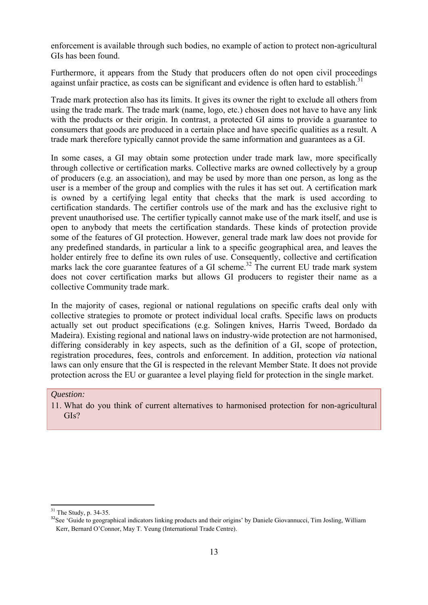enforcement is available through such bodies, no example of action to protect non-agricultural GIs has been found.

Furthermore, it appears from the Study that producers often do not open civil proceedings against unfair practice, as costs can be significant and evidence is often hard to establish.<sup>31</sup>

Trade mark protection also has its limits. It gives its owner the right to exclude all others from using the trade mark. The trade mark (name, logo, etc.) chosen does not have to have any link with the products or their origin. In contrast, a protected GI aims to provide a guarantee to consumers that goods are produced in a certain place and have specific qualities as a result. A trade mark therefore typically cannot provide the same information and guarantees as a GI.

In some cases, a GI may obtain some protection under trade mark law, more specifically through collective or certification marks. Collective marks are owned collectively by a group of producers (e.g. an association), and may be used by more than one person, as long as the user is a member of the group and complies with the rules it has set out. A certification mark is owned by a certifying legal entity that checks that the mark is used according to certification standards. The certifier controls use of the mark and has the exclusive right to prevent unauthorised use. The certifier typically cannot make use of the mark itself, and use is open to anybody that meets the certification standards. These kinds of protection provide some of the features of GI protection. However, general trade mark law does not provide for any predefined standards, in particular a link to a specific geographical area, and leaves the holder entirely free to define its own rules of use. Consequently, collective and certification marks lack the core guarantee features of a GI scheme.<sup>32</sup> The current EU trade mark system does not cover certification marks but allows GI producers to register their name as a collective Community trade mark.

In the majority of cases, regional or national regulations on specific crafts deal only with collective strategies to promote or protect individual local crafts. Specific laws on products actually set out product specifications (e.g. Solingen knives, Harris Tweed, Bordado da Madeira). Existing regional and national laws on industry-wide protection are not harmonised, differing considerably in key aspects, such as the definition of a GI, scope of protection, registration procedures, fees, controls and enforcement. In addition, protection *via* national laws can only ensure that the GI is respected in the relevant Member State. It does not provide protection across the EU or guarantee a level playing field for protection in the single market.

### *Question:*

11. What do you think of current alternatives to harmonised protection for non-agricultural GIs?

1

 $31$  The Study, p. 34-35.

<sup>&</sup>lt;sup>32</sup>See 'Guide to geographical indicators linking products and their origins' by Daniele Giovannucci, Tim Josling, William Kerr, Bernard O'Connor, May T. Yeung (International Trade Centre).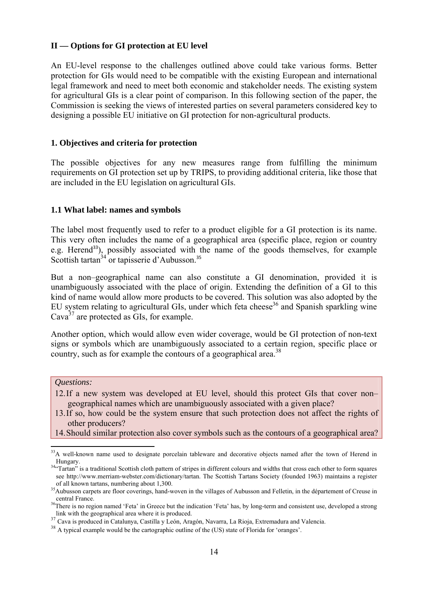### <span id="page-13-0"></span>**II — Options for GI protection at EU level**

An EU-level response to the challenges outlined above could take various forms. Better protection for GIs would need to be compatible with the existing European and international legal framework and need to meet both economic and stakeholder needs. The existing system for agricultural GIs is a clear point of comparison. In this following section of the paper, the Commission is seeking the views of interested parties on several parameters considered key to designing a possible EU initiative on GI protection for non-agricultural products.

### <span id="page-13-1"></span>**1. Objectives and criteria for protection**

The possible objectives for any new measures range from fulfilling the minimum requirements on GI protection set up by TRIPS, to providing additional criteria, like those that are included in the EU legislation on agricultural GIs.

### <span id="page-13-2"></span>**1.1 What label: names and symbols**

The label most frequently used to refer to a product eligible for a GI protection is its name. This very often includes the name of a geographical area (specific place, region or country e.g. Herend<sup>33</sup>), possibly associated with the name of the goods themselves, for example Scottish tartan $34$  or tapisserie d'Aubusson.<sup>35</sup>

But a non–geographical name can also constitute a GI denomination, provided it is unambiguously associated with the place of origin. Extending the definition of a GI to this kind of name would allow more products to be covered. This solution was also adopted by the EU system relating to agricultural GIs, under which feta cheese<sup>36</sup> and Spanish sparkling wine Cava $3^7$  are protected as GIs, for example.

Another option, which would allow even wider coverage, would be GI protection of non-text signs or symbols which are unambiguously associated to a certain region, specific place or country, such as for example the contours of a geographical area.<sup>38</sup>

*Questions:* 

1

- 12.If a new system was developed at EU level, should this protect GIs that cover non– geographical names which are unambiguously associated with a given place?
- 13.If so, how could be the system ensure that such protection does not affect the rights of other producers?
- 14.Should similar protection also cover symbols such as the contours of a geographical area?

 $33A$  well-known name used to designate porcelain tableware and decorative objects named after the town of Herend in

Hungary.<br><sup>34</sup>"Tartan" is a traditional Scottish cloth pattern of stripes in different colours and widths that cross each other to form squares see http://www.merriam-webster.com/dictionary/tartan. The Scottish Tartans Society (founded 1963) maintains a register

of all known tartans, numbering about 1,300.<br><sup>35</sup>Aubusson carpets are floor coverings, hand-woven in the villages of Aubusson and Felletin, in the département of Creuse in central France.<br><sup>36</sup>There is no region named 'Feta' in Greece but the indication 'Feta' has, by long-term and consistent use, developed a strong

link with the geographical area where it is produced.<br>
<sup>37</sup> Cava is produced in Catalunya, Castilla y León, Aragón, Navarra, La Rioja, Extremadura and Valencia.<br>
<sup>38</sup> A typical example would be the cartographic outline of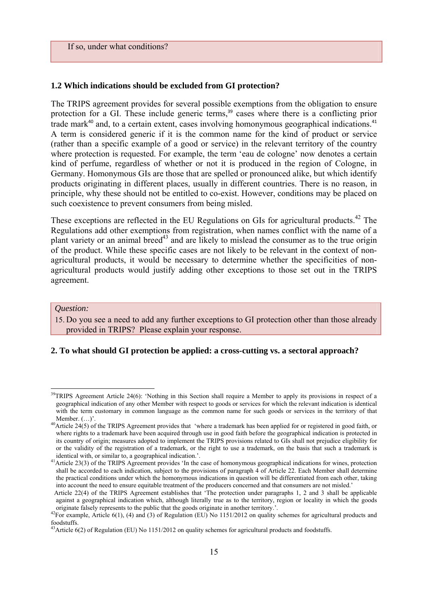### If so, under what conditions?

### <span id="page-14-0"></span>**1.2 Which indications should be excluded from GI protection?**

The TRIPS agreement provides for several possible exemptions from the obligation to ensure protection for a GI. These include generic terms,<sup>39</sup> cases where there is a conflicting prior trade mark $40$  and, to a certain extent, cases involving homonymous geographical indications. $41$ A term is considered generic if it is the common name for the kind of product or service (rather than a specific example of a good or service) in the relevant territory of the country where protection is requested. For example, the term 'eau de cologne' now denotes a certain kind of perfume, regardless of whether or not it is produced in the region of Cologne, in Germany. Homonymous GIs are those that are spelled or pronounced alike, but which identify products originating in different places, usually in different countries. There is no reason, in principle, why these should not be entitled to co-exist. However, conditions may be placed on such coexistence to prevent consumers from being misled.

These exceptions are reflected in the EU Regulations on GIs for agricultural products.<sup>42</sup> The Regulations add other exemptions from registration, when names conflict with the name of a plant variety or an animal breed<sup>43</sup> and are likely to mislead the consumer as to the true origin of the product. While these specific cases are not likely to be relevant in the context of nonagricultural products, it would be necessary to determine whether the specificities of nonagricultural products would justify adding other exceptions to those set out in the TRIPS agreement.

#### *Question:*

**.** 

15. Do you see a need to add any further exceptions to GI protection other than those already provided in TRIPS? Please explain your response.

# **2. To what should GI protection be applied: a cross-cutting vs. a sectoral approach?**

<sup>&</sup>lt;sup>39</sup>TRIPS Agreemen[t Article 24\(](http://www.wto.org/english/docs_e/legal_e/27-trips_04b_e.htm#3)6): 'Nothing in this Section shall require a Member to apply its provisions in respect of a geographical indication of any other Member with respect to goods or services for which the relevant indication is identical with the term customary in common language as the common name for such goods or services in the territory of that

Member. (...)'. 40Article 24(5) of the TRIPS Agreement provides that 'where a trademark has been applied for or registered in good faith, or 40Article 24(5) of the TRIPS Agreement provides that 'where a trademark has been where rights to a trademark have been acquired through use in good faith before the geographical indication is protected in its country of origin; measures adopted to implement the TRIPS provisions related to GIs shall not prejudice eligibility for or the validity of the registration of a trademark, or the right to use a trademark, on the basis that such a trademark is

identical with, or similar to, a geographical indication.'.<br><sup>41</sup>Article 23(3) of the TRIPS Agreement provides 'In the case of homonymous geographical indications for wines, protection shall be accorded to each indication, subject to the provisions of paragraph 4 of Article 22. Each Member shall determine the practical conditions under which the homonymous indications in question will be differentiated from each other, taking into account the need to ensure equitable treatment of the producers concerned and that consumers are not misled.'

Article 22(4) of the TRIPS Agreement establishes that 'The protection under paragraphs 1, 2 and 3 shall be applicable against a geographical indication which, although literally true as to the territory, region or locality in which the goods originate falsely represents to the public that the goods originate in another territory.'.

<sup>&</sup>lt;sup>42</sup>For example, Article 6(1), (4) and (3) of Regulation (EU) No 1151/2012 on quality schemes for agricultural products and foodstuffs.

<sup>&</sup>lt;sup>43</sup>Article 6(2) of Regulation (EU) No 1151/2012 on quality schemes for agricultural products and foodstuffs.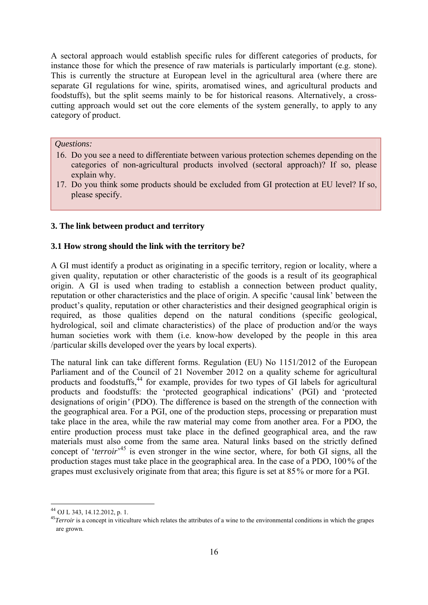A sectoral approach would establish specific rules for different categories of products, for instance those for which the presence of raw materials is particularly important (e.g. stone). This is currently the structure at European level in the agricultural area (where there are separate GI regulations for wine, spirits, aromatised wines, and agricultural products and foodstuffs), but the split seems mainly to be for historical reasons. Alternatively, a crosscutting approach would set out the core elements of the system generally, to apply to any category of product.

### *Questions:*

- 16. Do you see a need to differentiate between various protection schemes depending on the categories of non-agricultural products involved (sectoral approach)? If so, please explain why.
- 17. Do you think some products should be excluded from GI protection at EU level? If so, please specify.

### <span id="page-15-1"></span><span id="page-15-0"></span>**3. The link between product and territory**

### **3.1 How strong should the link with the territory be?**

A GI must identify a product as originating in a specific territory, region or locality, where a given quality, reputation or other characteristic of the goods is a result of its geographical origin. A GI is used when trading to establish a connection between product quality, reputation or other characteristics and the place of origin. A specific 'causal link' between the product's quality, reputation or other characteristics and their designed geographical origin is required, as those qualities depend on the natural conditions (specific geological, hydrological, soil and climate characteristics) of the place of production and/or the ways human societies work with them (i.e. know-how developed by the people in this area /particular skills developed over the years by local experts).

The natural link can take different forms. Regulation (EU) No 1151/2012 of the European Parliament and of the Council of 21 November 2012 on a quality scheme for agricultural products and foodstuffs,<sup>44</sup> for example, provides for two types of GI labels for agricultural products and foodstuffs: the 'protected geographical indications' (PGI) and 'protected designations of origin*'* (PDO). The difference is based on the strength of the connection with the geographical area. For a PGI, one of the production steps, processing or preparation must take place in the area, while the raw material may come from another area. For a PDO*,* the entire production process must take place in the defined geographical area, and the raw materials must also come from the same area. Natural links based on the strictly defined concept of '*terroir*<sup>,45</sup> is even stronger in the wine sector, where, for both GI signs, all the production stages must take place in the geographical area. In the case of a PDO, 100% of the grapes must exclusively originate from that area; this figure is set at 85% or more for a PGI.

1

<sup>44</sup> OJ L 343, 14.12.2012, p. 1.

<sup>&</sup>lt;sup>45</sup>*Terroir* is a concept in viticulture which relates the attributes of a wine to the environmental conditions in which the grapes are grown.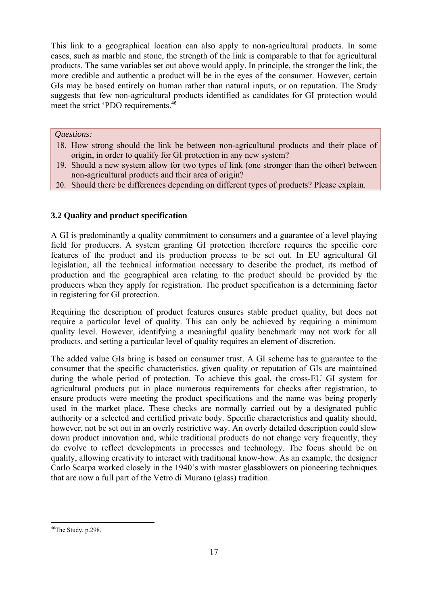This link to a geographical location can also apply to non-agricultural products. In some cases, such as marble and stone, the strength of the link is comparable to that for agricultural products. The same variables set out above would apply. In principle, the stronger the link, the more credible and authentic a product will be in the eyes of the consumer. However, certain GIs may be based entirely on human rather than natural inputs, or on reputation. The Study suggests that few non-agricultural products identified as candidates for GI protection would meet the strict 'PDO requirements.<sup>46</sup>

# *Questions:*

- 18. How strong should the link be between non-agricultural products and their place of origin, in order to qualify for GI protection in any new system?
- 19. Should a new system allow for two types of link (one stronger than the other) between non-agricultural products and their area of origin?
- 20. Should there be differences depending on different types of products? Please explain.

# <span id="page-16-0"></span>**3.2 Quality and product specification**

A GI is predominantly a quality commitment to consumers and a guarantee of a level playing field for producers. A system granting GI protection therefore requires the specific core features of the product and its production process to be set out. In EU agricultural GI legislation, all the technical information necessary to describe the product, its method of production and the geographical area relating to the product should be provided by the producers when they apply for registration. The product specification is a determining factor in registering for GI protection.

Requiring the description of product features ensures stable product quality, but does not require a particular level of quality. This can only be achieved by requiring a minimum quality level. However, identifying a meaningful quality benchmark may not work for all products, and setting a particular level of quality requires an element of discretion.

The added value GIs bring is based on consumer trust. A GI scheme has to guarantee to the consumer that the specific characteristics, given quality or reputation of GIs are maintained during the whole period of protection. To achieve this goal, the cross-EU GI system for agricultural products put in place numerous requirements for checks after registration, to ensure products were meeting the product specifications and the name was being properly used in the market place. These checks are normally carried out by a designated public authority or a selected and certified private body. Specific characteristics and quality should, however, not be set out in an overly restrictive way. An overly detailed description could slow down product innovation and, while traditional products do not change very frequently, they do evolve to reflect developments in processes and technology. The focus should be on quality, allowing creativity to interact with traditional know-how. As an example, the designer Carlo Scarpa worked closely in the 1940's with master glassblowers on pioneering techniques that are now a full part of the Vetro di Murano (glass) tradition.

**<sup>.</sup>**  $46$ The Study, p.298.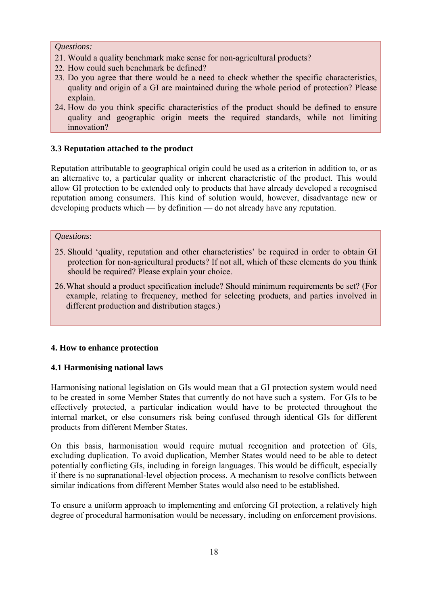### *Questions:*

- 21. Would a quality benchmark make sense for non-agricultural products?
- 22. How could such benchmark be defined?
- 23. Do you agree that there would be a need to check whether the specific characteristics, quality and origin of a GI are maintained during the whole period of protection? Please explain.
- 24. How do you think specific characteristics of the product should be defined to ensure quality and geographic origin meets the required standards, while not limiting innovation?

# <span id="page-17-0"></span>**3.3 Reputation attached to the product**

Reputation attributable to geographical origin could be used as a criterion in addition to, or as an alternative to, a particular quality or inherent characteristic of the product. This would allow GI protection to be extended only to products that have already developed a recognised reputation among consumers. This kind of solution would, however, disadvantage new or developing products which — by definition — do not already have any reputation.

### *Questions*:

- 25. Should 'quality, reputation and other characteristics' be required in order to obtain GI protection for non-agricultural products? If not all, which of these elements do you think should be required? Please explain your choice.
- 26.What should a product specification include? Should minimum requirements be set? (For example, relating to frequency, method for selecting products, and parties involved in different production and distribution stages.)

## <span id="page-17-1"></span>**4. How to enhance protection**

## <span id="page-17-2"></span>**4.1 Harmonising national laws**

Harmonising national legislation on GIs would mean that a GI protection system would need to be created in some Member States that currently do not have such a system. For GIs to be effectively protected, a particular indication would have to be protected throughout the internal market, or else consumers risk being confused through identical GIs for different products from different Member States.

On this basis, harmonisation would require mutual recognition and protection of GIs, excluding duplication. To avoid duplication, Member States would need to be able to detect potentially conflicting GIs, including in foreign languages. This would be difficult, especially if there is no supranational-level objection process. A mechanism to resolve conflicts between similar indications from different Member States would also need to be established.

To ensure a uniform approach to implementing and enforcing GI protection, a relatively high degree of procedural harmonisation would be necessary, including on enforcement provisions.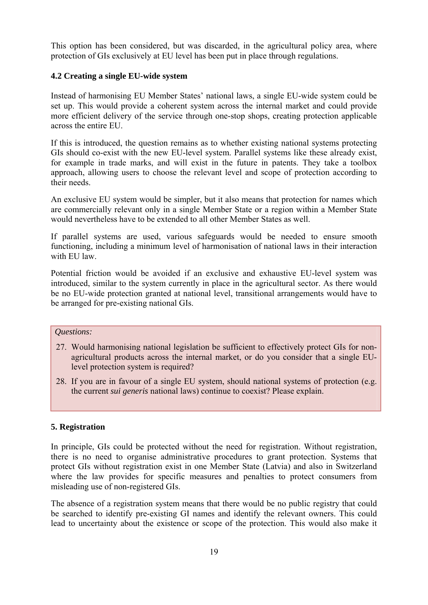This option has been considered, but was discarded, in the agricultural policy area, where protection of GIs exclusively at EU level has been put in place through regulations.

# <span id="page-18-0"></span>**4.2 Creating a single EU-wide system**

Instead of harmonising EU Member States' national laws, a single EU-wide system could be set up. This would provide a coherent system across the internal market and could provide more efficient delivery of the service through one-stop shops, creating protection applicable across the entire EU.

If this is introduced, the question remains as to whether existing national systems protecting GIs should co-exist with the new EU-level system. Parallel systems like these already exist, for example in trade marks, and will exist in the future in patents. They take a toolbox approach, allowing users to choose the relevant level and scope of protection according to their needs.

An exclusive EU system would be simpler, but it also means that protection for names which are commercially relevant only in a single Member State or a region within a Member State would nevertheless have to be extended to all other Member States as well.

If parallel systems are used, various safeguards would be needed to ensure smooth functioning, including a minimum level of harmonisation of national laws in their interaction with EU law.

Potential friction would be avoided if an exclusive and exhaustive EU-level system was introduced, similar to the system currently in place in the agricultural sector. As there would be no EU-wide protection granted at national level, transitional arrangements would have to be arranged for pre-existing national GIs.

# *Questions:*

- 27. Would harmonising national legislation be sufficient to effectively protect GIs for nonagricultural products across the internal market, or do you consider that a single EUlevel protection system is required?
- 28. If you are in favour of a single EU system, should national systems of protection (e.g. the current *sui generis* national laws) continue to coexist? Please explain.

# <span id="page-18-1"></span>**5. Registration**

In principle, GIs could be protected without the need for registration. Without registration, there is no need to organise administrative procedures to grant protection. Systems that protect GIs without registration exist in one Member State (Latvia) and also in Switzerland where the law provides for specific measures and penalties to protect consumers from misleading use of non-registered GIs.

The absence of a registration system means that there would be no public registry that could be searched to identify pre-existing GI names and identify the relevant owners. This could lead to uncertainty about the existence or scope of the protection. This would also make it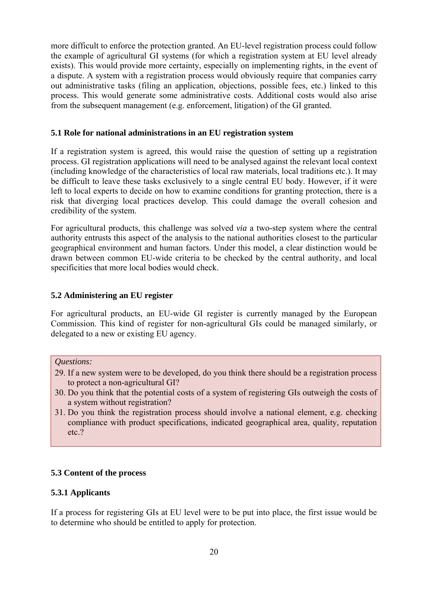more difficult to enforce the protection granted. An EU-level registration process could follow the example of agricultural GI systems (for which a registration system at EU level already exists). This would provide more certainty, especially on implementing rights, in the event of a dispute. A system with a registration process would obviously require that companies carry out administrative tasks (filing an application, objections, possible fees, etc.) linked to this process. This would generate some administrative costs. Additional costs would also arise from the subsequent management (e.g. enforcement, litigation) of the GI granted.

#### <span id="page-19-0"></span>**5.1 Role for national administrations in an EU registration system**

If a registration system is agreed, this would raise the question of setting up a registration process. GI registration applications will need to be analysed against the relevant local context (including knowledge of the characteristics of local raw materials, local traditions etc.). It may be difficult to leave these tasks exclusively to a single central EU body. However, if it were left to local experts to decide on how to examine conditions for granting protection, there is a risk that diverging local practices develop. This could damage the overall cohesion and credibility of the system.

For agricultural products, this challenge was solved *via* a two-step system where the central authority entrusts this aspect of the analysis to the national authorities closest to the particular geographical environment and human factors. Under this model, a clear distinction would be drawn between common EU-wide criteria to be checked by the central authority, and local specificities that more local bodies would check.

## <span id="page-19-1"></span>**5.2 Administering an EU register**

For agricultural products, an EU-wide GI register is currently managed by the European Commission. This kind of register for non-agricultural GIs could be managed similarly, or delegated to a new or existing EU agency.

### *Questions:*

- 29. If a new system were to be developed, do you think there should be a registration process to protect a non-agricultural GI?
- 30. Do you think that the potential costs of a system of registering GIs outweigh the costs of a system without registration?
- 31. Do you think the registration process should involve a national element, e.g. checking compliance with product specifications, indicated geographical area, quality, reputation etc.?

### <span id="page-19-3"></span><span id="page-19-2"></span>**5.3 Content of the process**

### **5.3.1 Applicants**

If a process for registering GIs at EU level were to be put into place, the first issue would be to determine who should be entitled to apply for protection.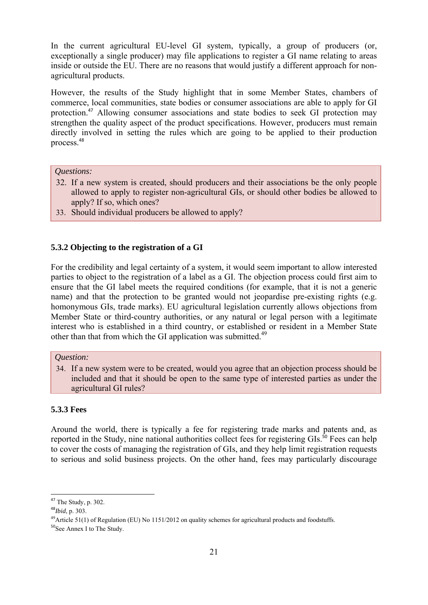In the current agricultural EU-level GI system, typically, a group of producers (or, exceptionally a single producer) may file applications to register a GI name relating to areas inside or outside the EU. There are no reasons that would justify a different approach for nonagricultural products.

However, the results of the Study highlight that in some Member States, chambers of commerce, local communities, state bodies or consumer associations are able to apply for GI protection.<sup>47</sup> Allowing consumer associations and state bodies to seek GI protection may strengthen the quality aspect of the product specifications. However, producers must remain directly involved in setting the rules which are going to be applied to their production process.<sup>48</sup>

### *Questions:*

- 32. If a new system is created, should producers and their associations be the only people allowed to apply to register non-agricultural GIs, or should other bodies be allowed to apply? If so, which ones?
- 33. Should individual producers be allowed to apply?

## <span id="page-20-0"></span>**5.3.2 Objecting to the registration of a GI**

For the credibility and legal certainty of a system, it would seem important to allow interested parties to object to the registration of a label as a GI. The objection process could first aim to ensure that the GI label meets the required conditions (for example, that it is not a generic name) and that the protection to be granted would not jeopardise pre-existing rights (e.g. homonymous GIs, trade marks). EU agricultural legislation currently allows objections from Member State or third-country authorities, or any natural or legal person with a legitimate interest who is established in a third country, or established or resident in a Member State other than that from which the GI application was submitted.<sup>49</sup>

# *Question:*

34. If a new system were to be created, would you agree that an objection process should be included and that it should be open to the same type of interested parties as under the agricultural GI rules?

#### <span id="page-20-1"></span>**5.3.3 Fees**

Around the world, there is typically a fee for registering trade marks and patents and, as reported in the Study, nine national authorities collect fees for registering GIs.<sup>50</sup> Fees can help to cover the costs of managing the registration of GIs, and they help limit registration requests to serious and solid business projects. On the other hand, fees may particularly discourage

 $47$  The Study, p. 302.

<sup>48</sup>*Ibid*, p. 303.

<sup>&</sup>lt;sup>49</sup>Article 51(1) of Regulation (EU) No 1151/2012 on quality schemes for agricultural products and foodstuffs.

<sup>50</sup>See Annex I to The Study.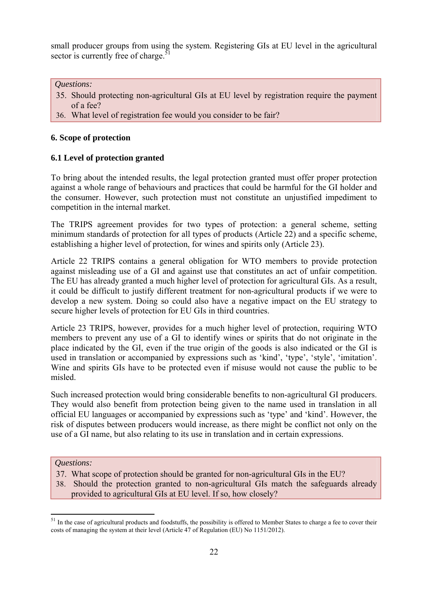small producer groups from using the system. Registering GIs at EU level in the agricultural sector is currently free of charge. $\overline{5}$ 

*Questions:* 

- 35. Should protecting non-agricultural GIs at EU level by registration require the payment of a fee?
- 36. What level of registration fee would you consider to be fair?

# <span id="page-21-0"></span>**6. Scope of protection**

# <span id="page-21-1"></span>**6.1 Level of protection granted**

To bring about the intended results, the legal protection granted must offer proper protection against a whole range of behaviours and practices that could be harmful for the GI holder and the consumer. However, such protection must not constitute an unjustified impediment to competition in the internal market.

The TRIPS agreement provides for two types of protection: a general scheme, setting minimum standards of protection for all types of products (Article 22) and a specific scheme, establishing a higher level of protection, for wines and spirits only (Article 23).

Article 22 TRIPS contains a general obligation for WTO members to provide protection against misleading use of a GI and against use that constitutes an act of unfair competition. The EU has already granted a much higher level of protection for agricultural GIs. As a result, it could be difficult to justify different treatment for non-agricultural products if we were to develop a new system. Doing so could also have a negative impact on the EU strategy to secure higher levels of protection for EU GIs in third countries.

Article 23 TRIPS, however, provides for a much higher level of protection, requiring WTO members to prevent any use of a GI to identify wines or spirits that do not originate in the place indicated by the GI, even if the true origin of the goods is also indicated or the GI is used in translation or accompanied by expressions such as 'kind', 'type', 'style', 'imitation'. Wine and spirits GIs have to be protected even if misuse would not cause the public to be misled.

Such increased protection would bring considerable benefits to non-agricultural GI producers. They would also benefit from protection being given to the name used in translation in all official EU languages or accompanied by expressions such as 'type' and 'kind'. However, the risk of disputes between producers would increase, as there might be conflict not only on the use of a GI name, but also relating to its use in translation and in certain expressions.

## *Questions:*

- 37. What scope of protection should be granted for non-agricultural GIs in the EU?
- 38. Should the protection granted to non-agricultural GIs match the safeguards already provided to agricultural GIs at EU level. If so, how closely?

 $51$  In the case of agricultural products and foodstuffs, the possibility is offered to Member States to charge a fee to cover their costs of managing the system at their level (Article 47 of Regulation (EU) No 1151/2012).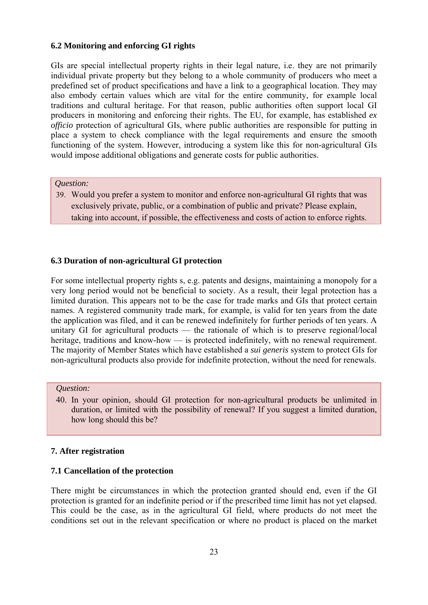### <span id="page-22-0"></span>**6.2 Monitoring and enforcing GI rights**

GIs are special intellectual property rights in their legal nature, i.e. they are not primarily individual private property but they belong to a whole community of producers who meet a predefined set of product specifications and have a link to a geographical location. They may also embody certain values which are vital for the entire community, for example local traditions and cultural heritage. For that reason, public authorities often support local GI producers in monitoring and enforcing their rights. The EU, for example, has established *ex officio* protection of agricultural GIs, where public authorities are responsible for putting in place a system to check compliance with the legal requirements and ensure the smooth functioning of the system. However, introducing a system like this for non-agricultural GIs would impose additional obligations and generate costs for public authorities.

#### *Question:*

39. Would you prefer a system to monitor and enforce non-agricultural GI rights that was exclusively private, public, or a combination of public and private? Please explain, taking into account, if possible, the effectiveness and costs of action to enforce rights.

### <span id="page-22-1"></span>**6.3 Duration of non-agricultural GI protection**

For some intellectual property rights s, e.g. patents and designs, maintaining a monopoly for a very long period would not be beneficial to society. As a result, their legal protection has a limited duration. This appears not to be the case for trade marks and GIs that protect certain names. A registered community trade mark, for example, is valid for ten years from the date the application was filed, and it can be renewed indefinitely for further periods of ten years. A unitary GI for agricultural products — the rationale of which is to preserve regional/local heritage, traditions and know-how — is protected indefinitely, with no renewal requirement. The majority of Member States which have established a *sui generis* system to protect GIs for non-agricultural products also provide for indefinite protection, without the need for renewals.

#### *Question:*

40. In your opinion, should GI protection for non-agricultural products be unlimited in duration, or limited with the possibility of renewal? If you suggest a limited duration, how long should this be?

#### <span id="page-22-3"></span><span id="page-22-2"></span>**7. After registration**

#### **7.1 Cancellation of the protection**

There might be circumstances in which the protection granted should end, even if the GI protection is granted for an indefinite period or if the prescribed time limit has not yet elapsed. This could be the case, as in the agricultural GI field, where products do not meet the conditions set out in the relevant specification or where no product is placed on the market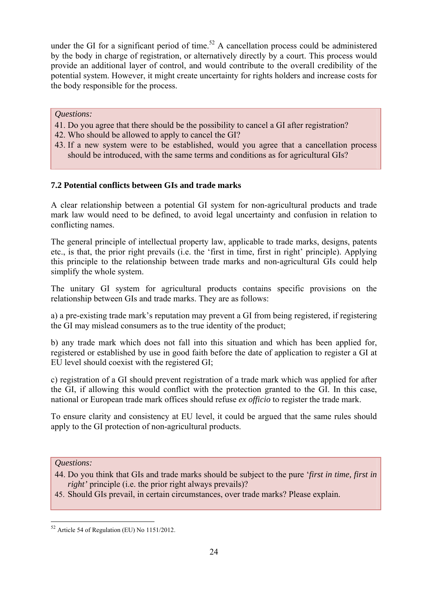under the GI for a significant period of time.<sup>52</sup> A cancellation process could be administered by the body in charge of registration, or alternatively directly by a court. This process would provide an additional layer of control, and would contribute to the overall credibility of the potential system. However, it might create uncertainty for rights holders and increase costs for the body responsible for the process.

## *Questions:*

- 41. Do you agree that there should be the possibility to cancel a GI after registration?
- 42. Who should be allowed to apply to cancel the GI?
- 43. If a new system were to be established, would you agree that a cancellation process should be introduced, with the same terms and conditions as for agricultural GIs?

# <span id="page-23-0"></span>**7.2 Potential conflicts between GIs and trade marks**

A clear relationship between a potential GI system for non-agricultural products and trade mark law would need to be defined, to avoid legal uncertainty and confusion in relation to conflicting names.

The general principle of intellectual property law, applicable to trade marks, designs, patents etc., is that, the prior right prevails (i.e. the 'first in time, first in right' principle). Applying this principle to the relationship between trade marks and non-agricultural GIs could help simplify the whole system.

The unitary GI system for agricultural products contains specific provisions on the relationship between GIs and trade marks. They are as follows:

a) a pre-existing trade mark's reputation may prevent a GI from being registered, if registering the GI may mislead consumers as to the true identity of the product;

b) any trade mark which does not fall into this situation and which has been applied for, registered or established by use in good faith before the date of application to register a GI at EU level should coexist with the registered GI;

c) registration of a GI should prevent registration of a trade mark which was applied for after the GI, if allowing this would conflict with the protection granted to the GI. In this case, national or European trade mark offices should refuse *ex officio* to register the trade mark.

To ensure clarity and consistency at EU level, it could be argued that the same rules should apply to the GI protection of non-agricultural products.

*Questions:* 

- 44. Do you think that GIs and trade marks should be subject to the pure '*first in time, first in right'* principle (i.e. the prior right always prevails)?
- 45. Should GIs prevail, in certain circumstances, over trade marks? Please explain.

<sup>52</sup> Article 54 of Regulation (EU) No 1151/2012.